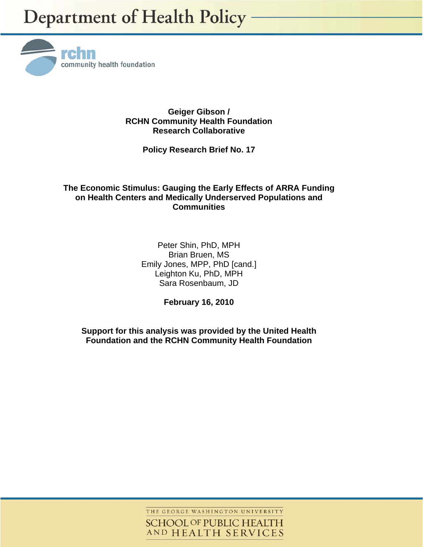

**Geiger Gibson / RCHN Community Health Foundation Research Collaborative** 

**Policy Research Brief No. 17** 

## **The Economic Stimulus: Gauging the Early Effects of ARRA Funding on Health Centers and Medically Underserved Populations and Communities**

Peter Shin, PhD, MPH Brian Bruen, MS Emily Jones, MPP, PhD [cand.] Leighton Ku, PhD, MPH Sara Rosenbaum, JD

**February 16, 2010** 

**Support for this analysis was provided by the United Health Foundation and the RCHN Community Health Foundation** 

> THE GEORGE WASHINGTON UNIVERSITY **SCHOOL OF PUBLIC HEALTH** AND HEALTH SERVICES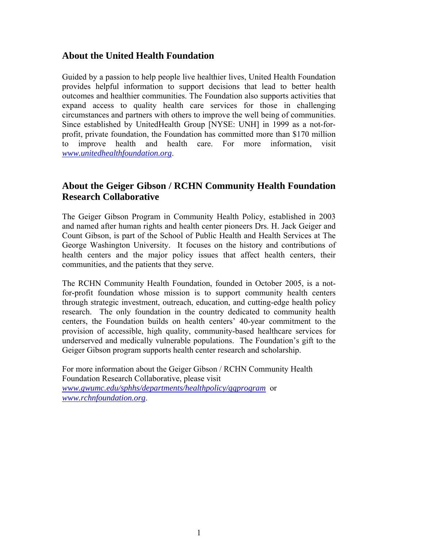## **About the United Health Foundation**

Guided by a passion to help people live healthier lives, United Health Foundation provides helpful information to support decisions that lead to better health outcomes and healthier communities. The Foundation also supports activities that expand access to quality health care services for those in challenging circumstances and partners with others to improve the well being of communities. Since established by UnitedHealth Group [NYSE: UNH] in 1999 as a not-forprofit, private foundation, the Foundation has committed more than \$170 million to improve health and health care. For more information, visit *www.unitedhealthfoundation.org*.

# **About the Geiger Gibson / RCHN Community Health Foundation Research Collaborative**

The Geiger Gibson Program in Community Health Policy, established in 2003 and named after human rights and health center pioneers Drs. H. Jack Geiger and Count Gibson, is part of the School of Public Health and Health Services at The George Washington University. It focuses on the history and contributions of health centers and the major policy issues that affect health centers, their communities, and the patients that they serve.

The RCHN Community Health Foundation, founded in October 2005, is a notfor-profit foundation whose mission is to support community health centers through strategic investment, outreach, education, and cutting-edge health policy research. The only foundation in the country dedicated to community health centers, the Foundation builds on health centers' 40-year commitment to the provision of accessible, high quality, community-based healthcare services for underserved and medically vulnerable populations. The Foundation's gift to the Geiger Gibson program supports health center research and scholarship.

For more information about the Geiger Gibson / RCHN Community Health Foundation Research Collaborative, please visit *www.gwumc.edu/sphhs/departments/healthpolicy/ggprogram* or *www.rchnfoundation.org*.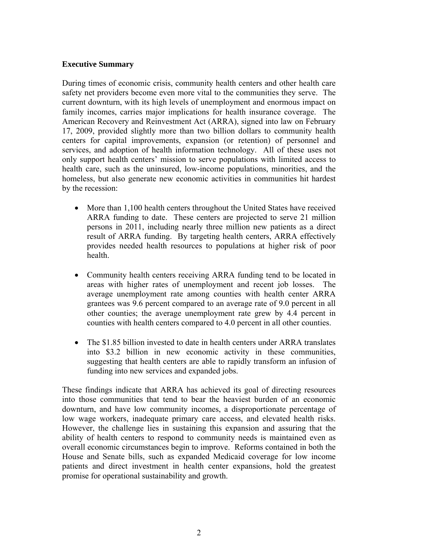#### **Executive Summary**

During times of economic crisis, community health centers and other health care safety net providers become even more vital to the communities they serve. The current downturn, with its high levels of unemployment and enormous impact on family incomes, carries major implications for health insurance coverage. The American Recovery and Reinvestment Act (ARRA), signed into law on February 17, 2009, provided slightly more than two billion dollars to community health centers for capital improvements, expansion (or retention) of personnel and services, and adoption of health information technology. All of these uses not only support health centers' mission to serve populations with limited access to health care, such as the uninsured, low-income populations, minorities, and the homeless, but also generate new economic activities in communities hit hardest by the recession:

- More than 1,100 health centers throughout the United States have received ARRA funding to date. These centers are projected to serve 21 million persons in 2011, including nearly three million new patients as a direct result of ARRA funding. By targeting health centers, ARRA effectively provides needed health resources to populations at higher risk of poor health.
- Community health centers receiving ARRA funding tend to be located in areas with higher rates of unemployment and recent job losses. The average unemployment rate among counties with health center ARRA grantees was 9.6 percent compared to an average rate of 9.0 percent in all other counties; the average unemployment rate grew by 4.4 percent in counties with health centers compared to 4.0 percent in all other counties.
- The \$1.85 billion invested to date in health centers under ARRA translates into \$3.2 billion in new economic activity in these communities, suggesting that health centers are able to rapidly transform an infusion of funding into new services and expanded jobs.

These findings indicate that ARRA has achieved its goal of directing resources into those communities that tend to bear the heaviest burden of an economic downturn, and have low community incomes, a disproportionate percentage of low wage workers, inadequate primary care access, and elevated health risks. However, the challenge lies in sustaining this expansion and assuring that the ability of health centers to respond to community needs is maintained even as overall economic circumstances begin to improve. Reforms contained in both the House and Senate bills, such as expanded Medicaid coverage for low income patients and direct investment in health center expansions, hold the greatest promise for operational sustainability and growth.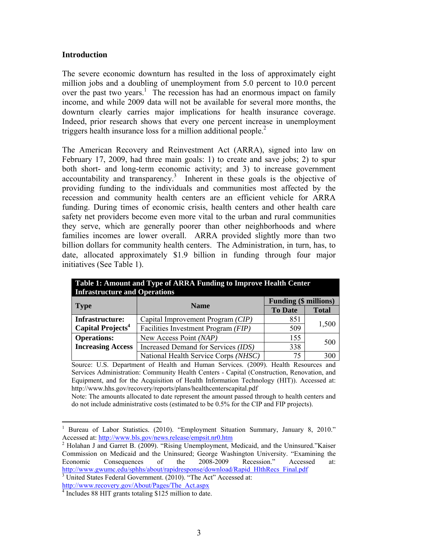#### **Introduction**

The severe economic downturn has resulted in the loss of approximately eight million jobs and a doubling of unemployment from 5.0 percent to 10.0 percent over the past two years.<sup>1</sup> The recession has had an enormous impact on family income, and while 2009 data will not be available for several more months, the downturn clearly carries major implications for health insurance coverage. Indeed, prior research shows that every one percent increase in unemployment triggers health insurance loss for a million additional people.<sup>2</sup>

The American Recovery and Reinvestment Act (ARRA), signed into law on February 17, 2009, had three main goals: 1) to create and save jobs; 2) to spur both short- and long-term economic activity; and 3) to increase government  $\alpha$  accountability and transparency.<sup>3</sup> Inherent in these goals is the objective of providing funding to the individuals and communities most affected by the recession and community health centers are an efficient vehicle for ARRA funding. During times of economic crisis, health centers and other health care safety net providers become even more vital to the urban and rural communities they serve, which are generally poorer than other neighborhoods and where families incomes are lower overall. ARRA provided slightly more than two billion dollars for community health centers. The Administration, in turn, has, to date, allocated approximately \$1.9 billion in funding through four major initiatives (See Table 1).

| Table 1: Amount and Type of ARRA Funding to Improve Health Center<br><b>Infrastructure and Operations</b> |                                      |                |              |  |  |
|-----------------------------------------------------------------------------------------------------------|--------------------------------------|----------------|--------------|--|--|
|                                                                                                           | <b>Funding (\$ millions)</b>         |                |              |  |  |
| <b>Type</b>                                                                                               | <b>Name</b>                          | <b>To Date</b> | <b>Total</b> |  |  |
| Infrastructure:                                                                                           | Capital Improvement Program (CIP)    | 851            | 1,500        |  |  |
| Capital Projects <sup>4</sup>                                                                             | Facilities Investment Program (FIP)  | 509            |              |  |  |
| <b>Operations:</b>                                                                                        | New Access Point (NAP)               | 155            | 500          |  |  |
| <b>Increasing Access</b>                                                                                  | Increased Demand for Services (IDS)  | 338            |              |  |  |
|                                                                                                           | National Health Service Corps (NHSC) | 75             | 300          |  |  |

| $\frac{1}{2}$ Nativilate figure SCI vice Corps (19115C) $\frac{1}{2}$                      | 1.1 <sub>1</sub> | JUV - |
|--------------------------------------------------------------------------------------------|------------------|-------|
| Source: U.S. Department of Health and Human Services. (2009). Health Resources and         |                  |       |
| Services Administration: Community Health Centers - Capital (Construction, Renovation, and |                  |       |
| Equipment, and for the Acquisition of Health Information Technology (HIT)). Accessed at:   |                  |       |
| http://www.hhs.gov/recovery/reports/plans/healthcenterscapital.pdf                         |                  |       |

Note: The amounts allocated to date represent the amount passed through to health centers and do not include administrative costs (estimated to be 0.5% for the CIP and FIP projects).

http://www.recovery.gov/About/Pages/The\_Act.aspx 4 Includes 88 HIT grants totaling \$125 million to date.

 $\overline{a}$ 

<sup>1</sup> Bureau of Labor Statistics. (2010). "Employment Situation Summary, January 8, 2010." Accessed at: http://www.bls.gov/news.release/empsit.nr0.htm <sup>2</sup>

Holahan J and Garret B. (2009). "Rising Unemployment, Medicaid, and the Uninsured."Kaiser Commission on Medicaid and the Uninsured; George Washington University. "Examining the Economic Consequences of the 2008-2009 Recession." Accessed at: http://www.gwumc.edu/sphhs/about/rapidresponse/download/Rapid\_HlthRecs\_Final.pdf <sup>3</sup> United States Federal Government. (2010). "The Act" Accessed at: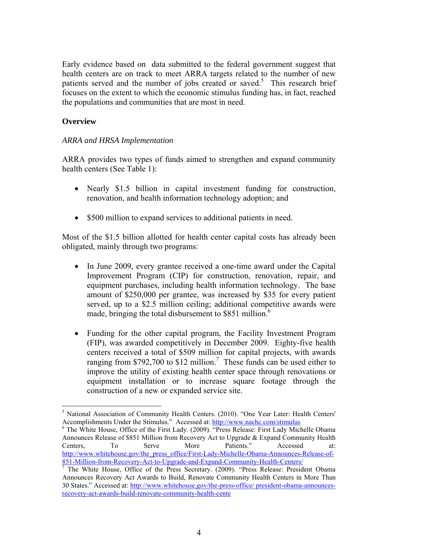Early evidence based on data submitted to the federal government suggest that health centers are on track to meet ARRA targets related to the number of new patients served and the number of jobs created or saved.<sup>5</sup> This research brief focuses on the extent to which the economic stimulus funding has, in fact, reached the populations and communities that are most in need.

### **Overview**

1

#### *ARRA and HRSA Implementation*

ARRA provides two types of funds aimed to strengthen and expand community health centers (See Table 1):

- Nearly \$1.5 billion in capital investment funding for construction, renovation, and health information technology adoption; and
- \$500 million to expand services to additional patients in need.

Most of the \$1.5 billion allotted for health center capital costs has already been obligated, mainly through two programs:

- In June 2009, every grantee received a one-time award under the Capital Improvement Program (CIP) for construction, renovation, repair, and equipment purchases, including health information technology. The base amount of \$250,000 per grantee, was increased by \$35 for every patient served, up to a \$2.5 million ceiling; additional competitive awards were made, bringing the total disbursement to \$851 million. $6$
- Funding for the other capital program, the Facility Investment Program (FIP), was awarded competitively in December 2009. Eighty-five health centers received a total of \$509 million for capital projects, with awards ranging from \$792,700 to \$12 million.<sup>7</sup> These funds can be used either to improve the utility of existing health center space through renovations or equipment installation or to increase square footage through the construction of a new or expanded service site.

<sup>&</sup>lt;sup>5</sup> National Association of Community Health Centers. (2010). "One Year Later: Health Centers' Accomplishments Under the Stimulus." Accessed at: http://www.nachc.com/stimulus

<sup>&</sup>lt;sup>6</sup> The White House, Office of the First Lady. (2009). "Press Release: First Lady Michelle Obama Announces Release of \$851 Million from Recovery Act to Upgrade & Expand Community Health Centers, To Serve More Patients." Accessed at: http://www.whitehouse.gov/the\_press\_office/First-Lady-Michelle-Obama-Announces-Release-of-851-Million-from-Recovery-Act-to-Upgrade-and-Expand-Community-Health-Centers/ 7

 $\overline{7}$  The White House, Office of the Press Secretary. (2009). "Press Release: President Obama Announces Recovery Act Awards to Build, Renovate Community Health Centers in More Than 30 States." Accessed at: http://www.whitehouse.gov/the-press-office/ president-obama-announcesrecovery-act-awards-build-renovate-community-health-cente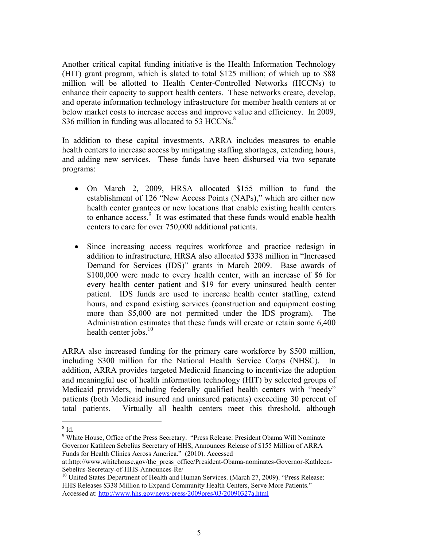Another critical capital funding initiative is the Health Information Technology (HIT) grant program, which is slated to total \$125 million; of which up to \$88 million will be allotted to Health Center-Controlled Networks (HCCNs) to enhance their capacity to support health centers. These networks create, develop, and operate information technology infrastructure for member health centers at or below market costs to increase access and improve value and efficiency. In 2009, \$36 million in funding was allocated to 53 HCCNs.<sup>8</sup>

In addition to these capital investments, ARRA includes measures to enable health centers to increase access by mitigating staffing shortages, extending hours, and adding new services. These funds have been disbursed via two separate programs:

- On March 2, 2009, HRSA allocated \$155 million to fund the establishment of 126 "New Access Points (NAPs)," which are either new health center grantees or new locations that enable existing health centers to enhance access.<sup>9</sup> It was estimated that these funds would enable health centers to care for over 750,000 additional patients.
- Since increasing access requires workforce and practice redesign in addition to infrastructure, HRSA also allocated \$338 million in "Increased Demand for Services (IDS)" grants in March 2009. Base awards of \$100,000 were made to every health center, with an increase of \$6 for every health center patient and \$19 for every uninsured health center patient. IDS funds are used to increase health center staffing, extend hours, and expand existing services (construction and equipment costing more than \$5,000 are not permitted under the IDS program). The Administration estimates that these funds will create or retain some 6,400 health center jobs.<sup>10</sup>

ARRA also increased funding for the primary care workforce by \$500 million, including \$300 million for the National Health Service Corps (NHSC). In addition, ARRA provides targeted Medicaid financing to incentivize the adoption and meaningful use of health information technology (HIT) by selected groups of Medicaid providers, including federally qualified health centers with "needy" patients (both Medicaid insured and uninsured patients) exceeding 30 percent of total patients. Virtually all health centers meet this threshold, although

 $\overline{\phantom{a}^8}$  Id.

<sup>&</sup>lt;sup>9</sup> White House, Office of the Press Secretary. "Press Release: President Obama Will Nominate Governor Kathleen Sebelius Secretary of HHS, Announces Release of \$155 Million of ARRA Funds for Health Clinics Across America." (2010). Accessed

at:http://www.whitehouse.gov/the\_press\_office/President-Obama-nominates-Governor-Kathleen-Sebelius-Secretary-of-HHS-Announces-Re/

<sup>&</sup>lt;sup>10</sup> United States Department of Health and Human Services. (March 27, 2009). "Press Release: HHS Releases \$338 Million to Expand Community Health Centers, Serve More Patients." Accessed at: http://www.hhs.gov/news/press/2009pres/03/20090327a.html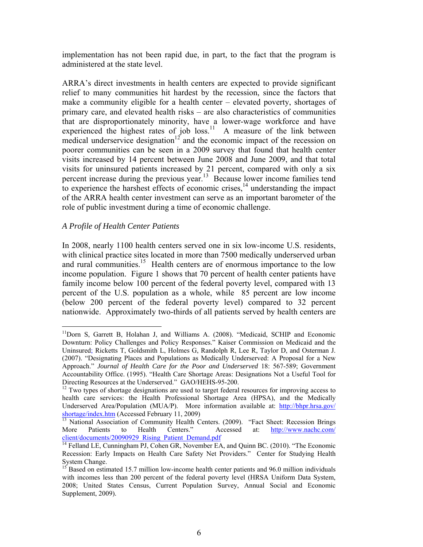implementation has not been rapid due, in part, to the fact that the program is administered at the state level.

ARRA's direct investments in health centers are expected to provide significant relief to many communities hit hardest by the recession, since the factors that make a community eligible for a health center – elevated poverty, shortages of primary care, and elevated health risks – are also characteristics of communities that are disproportionately minority, have a lower-wage workforce and have experienced the highest rates of job loss.<sup>11</sup> A measure of the link between medical underservice designation<sup>12</sup> and the economic impact of the recession on poorer communities can be seen in a 2009 survey that found that health center visits increased by 14 percent between June 2008 and June 2009, and that total visits for uninsured patients increased by 21 percent, compared with only a six percent increase during the previous year.13 Because lower income families tend to experience the harshest effects of economic crises,  $14$  understanding the impact of the ARRA health center investment can serve as an important barometer of the role of public investment during a time of economic challenge.

#### *A Profile of Health Center Patients*

In 2008, nearly 1100 health centers served one in six low-income U.S. residents, with clinical practice sites located in more than 7500 medically underserved urban and rural communities.<sup>15</sup> Health centers are of enormous importance to the low income population. Figure 1 shows that 70 percent of health center patients have family income below 100 percent of the federal poverty level, compared with 13 percent of the U.S. population as a whole, while 85 percent are low income (below 200 percent of the federal poverty level) compared to 32 percent nationwide. Approximately two-thirds of all patients served by health centers are

<sup>1</sup> <sup>11</sup>Dorn S, Garrett B, Holahan J, and Williams A. (2008). "Medicaid, SCHIP and Economic Downturn: Policy Challenges and Policy Responses." Kaiser Commission on Medicaid and the Uninsured; Ricketts T, Goldsmith L, Holmes G, Randolph R, Lee R, Taylor D, and Osterman J. (2007). "Designating Places and Populations as Medically Underserved: A Proposal for a New Approach." *Journal of Health Care for the Poor and Underserved* 18: 567-589; Government Accountability Office. (1995). "Health Care Shortage Areas: Designations Not a Useful Tool for Directing Resources at the Underserved." GAO/HEHS-95-200.

<sup>&</sup>lt;sup>12</sup> Two types of shortage designations are used to target federal resources for improving access to health care services: the Health Professional Shortage Area (HPSA), and the Medically Underserved Area/Population (MUA/P). More information available at: http://bhpr.hrsa.gov/ shortage/index.htm (Accessed February 11, 2009)<br><sup>13</sup> National Association of Community Health Centers. (2009). "Fact Sheet: Recession Brings

More Patients to Health Centers." Accessed at: http://www.nachc.com/ client/documents/20090929\_Rising\_Patient\_Demand.pdf

<sup>&</sup>lt;sup>14</sup> Felland LE, Cunningham PJ, Cohen GR, November EA, and Quinn BC. (2010). "The Economic Recession: Early Impacts on Health Care Safety Net Providers." Center for Studying Health System Change.

<sup>&</sup>lt;sup>15</sup> Based on estimated 15.7 million low-income health center patients and 96.0 million individuals with incomes less than 200 percent of the federal poverty level (HRSA Uniform Data System, 2008; United States Census, Current Population Survey, Annual Social and Economic Supplement, 2009).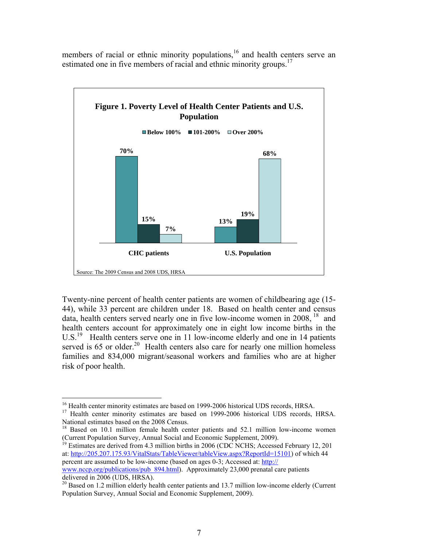members of racial or ethnic minority populations,<sup>16</sup> and health centers serve an estimated one in five members of racial and ethnic minority groups.<sup>17</sup>



Twenty-nine percent of health center patients are women of childbearing age (15- 44), while 33 percent are children under 18. Based on health center and census data, health centers served nearly one in five low-income women in  $2008$ ,  $^{18}$  and health centers account for approximately one in eight low income births in the U.S.<sup>19</sup> Health centers serve one in 11 low-income elderly and one in 14 patients served is  $65$  or older.<sup>20</sup> Health centers also care for nearly one million homeless families and 834,000 migrant/seasonal workers and families who are at higher risk of poor health.

1

Estimates are derived from 4.3 million births in 2006 (CDC NCHS; Accessed February 12, 201 at: http://205.207.175.93/VitalStats/TableViewer/tableView.aspx?ReportId=15101) of which 44 percent are assumed to be low-income (based on ages 0-3; Accessed at: http:// www.nccp.org/publications/pub 894.html). Approximately 23,000 prenatal care patients delivered in 2006 (UDS, HRSA).

<sup>&</sup>lt;sup>16</sup> Health center minority estimates are based on 1999-2006 historical UDS records, HRSA.

<sup>&</sup>lt;sup>17</sup> Health center minority estimates are based on 1999-2006 historical UDS records, HRSA. National estimates based on the 2008 Census.

<sup>&</sup>lt;sup>18</sup> Based on 10.1 million female health center patients and  $52.1$  million low-income women (Current Population Survey, Annual Social and Economic Supplement, 2009).

 $^{20}$  Based on 1.2 million elderly health center patients and 13.7 million low-income elderly (Current Population Survey, Annual Social and Economic Supplement, 2009).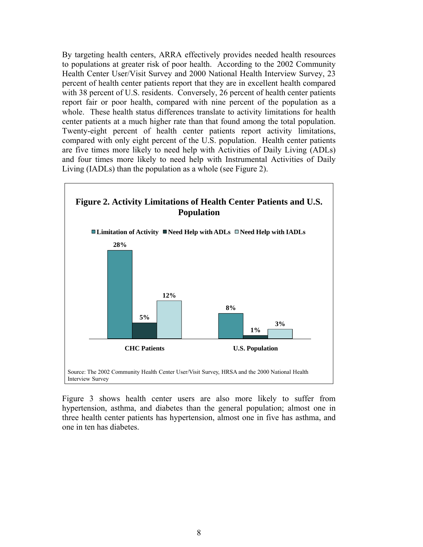By targeting health centers, ARRA effectively provides needed health resources to populations at greater risk of poor health. According to the 2002 Community Health Center User/Visit Survey and 2000 National Health Interview Survey, 23 percent of health center patients report that they are in excellent health compared with 38 percent of U.S. residents. Conversely, 26 percent of health center patients report fair or poor health, compared with nine percent of the population as a whole. These health status differences translate to activity limitations for health center patients at a much higher rate than that found among the total population. Twenty-eight percent of health center patients report activity limitations, compared with only eight percent of the U.S. population. Health center patients are five times more likely to need help with Activities of Daily Living (ADLs) and four times more likely to need help with Instrumental Activities of Daily Living (IADLs) than the population as a whole (see Figure 2).



Figure 3 shows health center users are also more likely to suffer from hypertension, asthma, and diabetes than the general population; almost one in three health center patients has hypertension, almost one in five has asthma, and one in ten has diabetes.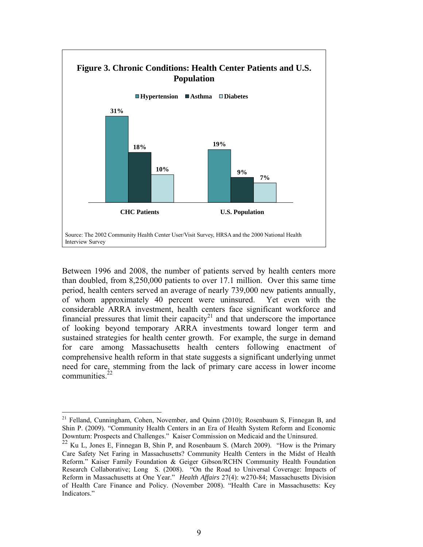

Between 1996 and 2008, the number of patients served by health centers more than doubled, from 8,250,000 patients to over 17.1 million. Over this same time period, health centers served an average of nearly 739,000 new patients annually, of whom approximately 40 percent were uninsured. Yet even with the considerable ARRA investment, health centers face significant workforce and financial pressures that limit their capacity<sup>21</sup> and that underscore the importance of looking beyond temporary ARRA investments toward longer term and sustained strategies for health center growth. For example, the surge in demand for care among Massachusetts health centers following enactment of comprehensive health reform in that state suggests a significant underlying unmet need for care, stemming from the lack of primary care access in lower income communities  $22$ 

 $\overline{a}$ 

 $21$  Felland, Cunningham, Cohen, November, and Quinn (2010); Rosenbaum S, Finnegan B, and Shin P. (2009). "Community Health Centers in an Era of Health System Reform and Economic Downturn: Prospects and Challenges." Kaiser Commission on Medicaid and the Uninsured.

<sup>22</sup> Ku L, Jones E, Finnegan B, Shin P, and Rosenbaum S. (March 2009). "How is the Primary Care Safety Net Faring in Massachusetts? Community Health Centers in the Midst of Health Reform." Kaiser Family Foundation & Geiger Gibson/RCHN Community Health Foundation Research Collaborative; Long S. (2008). "On the Road to Universal Coverage: Impacts of Reform in Massachusetts at One Year." *Health Affairs* 27(4): w270-84; Massachusetts Division of Health Care Finance and Policy. (November 2008). "Health Care in Massachusetts: Key Indicators."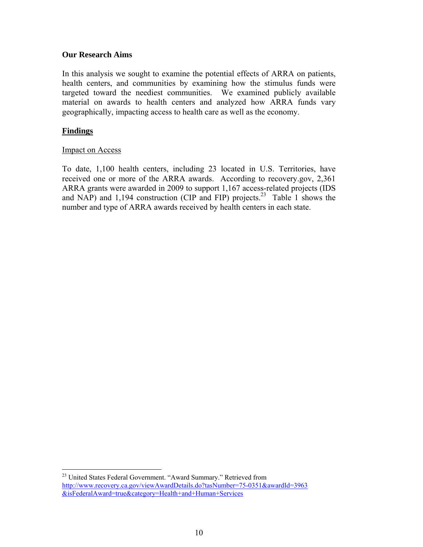#### **Our Research Aims**

In this analysis we sought to examine the potential effects of ARRA on patients, health centers, and communities by examining how the stimulus funds were targeted toward the neediest communities. We examined publicly available material on awards to health centers and analyzed how ARRA funds vary geographically, impacting access to health care as well as the economy.

#### **Findings**

 $\overline{a}$ 

#### Impact on Access

To date, 1,100 health centers, including 23 located in U.S. Territories, have received one or more of the ARRA awards. According to recovery.gov, 2,361 ARRA grants were awarded in 2009 to support 1,167 access-related projects (IDS and NAP) and 1,194 construction (CIP and FIP) projects.<sup>23</sup> Table 1 shows the number and type of ARRA awards received by health centers in each state.

<sup>&</sup>lt;sup>23</sup> United States Federal Government. "Award Summary." Retrieved from http://www.recovery.ca.gov/viewAwardDetails.do?tasNumber=75-0351&awardId=3963 &isFederalAward=true&category=Health+and+Human+Services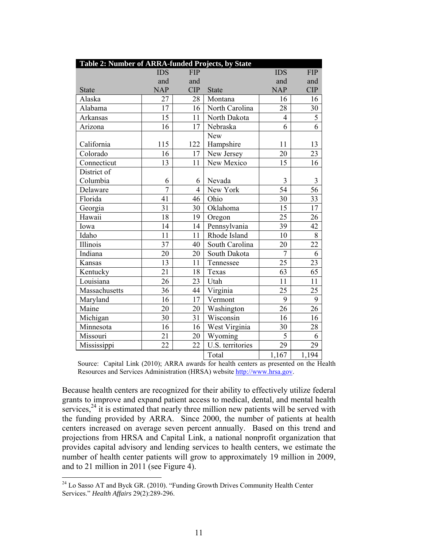| Table 2: Number of ARRA-funded Projects, by State |                 |                |                  |                 |                |  |
|---------------------------------------------------|-----------------|----------------|------------------|-----------------|----------------|--|
|                                                   | <b>IDS</b>      | <b>FIP</b>     |                  | <b>IDS</b>      | <b>FIP</b>     |  |
|                                                   | and             | and            |                  | and             | and            |  |
| <b>State</b>                                      | <b>NAP</b>      | <b>CIP</b>     | <b>State</b>     | <b>NAP</b>      | <b>CIP</b>     |  |
| Alaska                                            | 27              | 28             | Montana          | 16              | 16             |  |
| Alabama                                           | 17              | 16             | North Carolina   | 28              | 30             |  |
| Arkansas                                          | 15              | 11             | North Dakota     | $\overline{4}$  | 5              |  |
| Arizona                                           | 16              | 17             | Nebraska         | 6               | 6              |  |
|                                                   |                 |                | <b>New</b>       |                 |                |  |
| California                                        | 115             | 122            | Hampshire        | 11              | 13             |  |
| Colorado                                          | 16              | 17             | New Jersey       | 20              | 23             |  |
| Connecticut                                       | 13              | 11             | New Mexico       | 15              | 16             |  |
| District of                                       |                 |                |                  |                 |                |  |
| Columbia                                          | 6               | 6              | Nevada           | 3               | $\overline{3}$ |  |
| Delaware                                          | $\overline{7}$  | $\overline{4}$ | New York         | 54              | 56             |  |
| Florida                                           | 41              | 46             | Ohio             | 30              | 33             |  |
| Georgia                                           | 31              | 30             | Oklahoma         | 15              | 17             |  |
| Hawaii                                            | 18              | 19             | Oregon           | $\overline{25}$ | 26             |  |
| Iowa                                              | 14              | 14             | Pennsylvania     | 39              | 42             |  |
| Idaho                                             | 11              | 11             | Rhode Island     | 10              | $8\,$          |  |
| Illinois                                          | 37              | 40             | South Carolina   | 20              | 22             |  |
| Indiana                                           | 20              | 20             | South Dakota     | $\overline{7}$  | 6              |  |
| Kansas                                            | 13              | 11             | Tennessee        | 25              | 23             |  |
| Kentucky                                          | $\overline{21}$ | 18             | Texas            | 63              | 65             |  |
| Louisiana                                         | 26              | 23             | Utah             | 11              | 11             |  |
| Massachusetts                                     | 36              | 44             | Virginia         | 25              | 25             |  |
| Maryland                                          | 16              | 17             | Vermont          | 9               | 9              |  |
| Maine                                             | 20              | 20             | Washington       | 26              | 26             |  |
| Michigan                                          | 30              | 31             | Wisconsin        | 16              | 16             |  |
| Minnesota                                         | 16              | 16             | West Virginia    | 30              | 28             |  |
| Missouri                                          | 21              | 20             | Wyoming          | 5               | 6              |  |
| Mississippi                                       | 22              | 22             | U.S. territories | 29              | 29             |  |
|                                                   |                 |                | Total            | 1,167           | 1,194          |  |

Source: Capital Link (2010); ARRA awards for health centers as presented on the Health Resources and Services Administration (HRSA) website http://www.hrsa.gov.

Because health centers are recognized for their ability to effectively utilize federal grants to improve and expand patient access to medical, dental, and mental health services,  $24$  it is estimated that nearly three million new patients will be served with the funding provided by ARRA. Since 2000, the number of patients at health centers increased on average seven percent annually. Based on this trend and projections from HRSA and Capital Link, a national nonprofit organization that provides capital advisory and lending services to health centers, we estimate the number of health center patients will grow to approximately 19 million in 2009, and to 21 million in 2011 (see Figure 4).

 $\overline{a}$ 

<sup>&</sup>lt;sup>24</sup> Lo Sasso AT and Byck GR. (2010). "Funding Growth Drives Community Health Center Services." *Health Affairs* 29(2):289-296.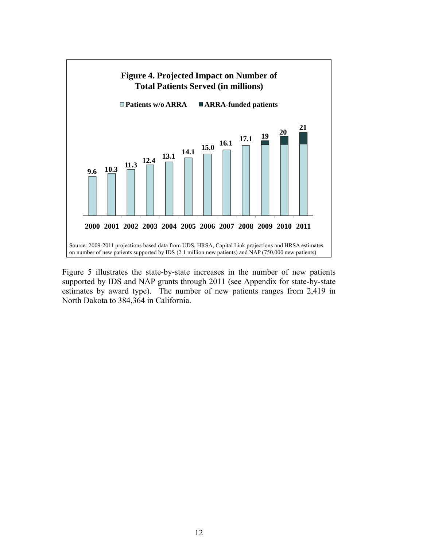

Figure 5 illustrates the state-by-state increases in the number of new patients supported by IDS and NAP grants through 2011 (see Appendix for state-by-state estimates by award type). The number of new patients ranges from 2,419 in North Dakota to 384,364 in California.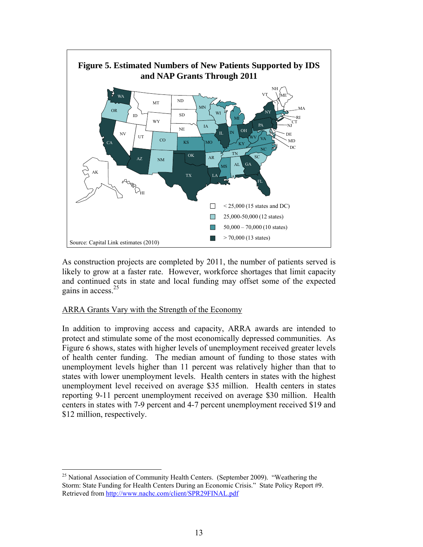![](_page_13_Figure_0.jpeg)

As construction projects are completed by 2011, the number of patients served is likely to grow at a faster rate. However, workforce shortages that limit capacity and continued cuts in state and local funding may offset some of the expected gains in access.25

## ARRA Grants Vary with the Strength of the Economy

 $\overline{a}$ 

In addition to improving access and capacity, ARRA awards are intended to protect and stimulate some of the most economically depressed communities. As Figure 6 shows, states with higher levels of unemployment received greater levels of health center funding. The median amount of funding to those states with unemployment levels higher than 11 percent was relatively higher than that to states with lower unemployment levels. Health centers in states with the highest unemployment level received on average \$35 million. Health centers in states reporting 9-11 percent unemployment received on average \$30 million. Health centers in states with 7-9 percent and 4-7 percent unemployment received \$19 and \$12 million, respectively.

<sup>&</sup>lt;sup>25</sup> National Association of Community Health Centers. (September 2009). "Weathering the Storm: State Funding for Health Centers During an Economic Crisis." State Policy Report #9. Retrieved from http://www.nachc.com/client/SPR29FINAL.pdf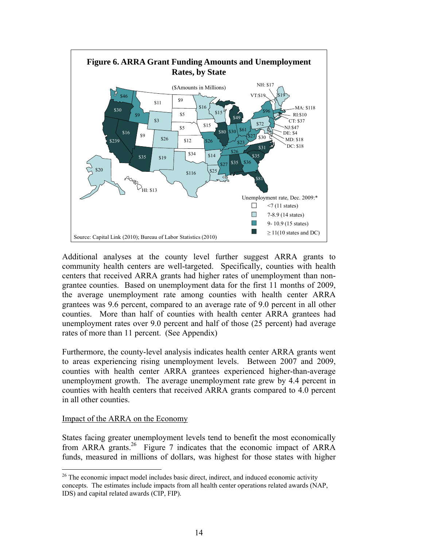![](_page_14_Figure_0.jpeg)

Additional analyses at the county level further suggest ARRA grants to community health centers are well-targeted. Specifically, counties with health centers that received ARRA grants had higher rates of unemployment than nongrantee counties. Based on unemployment data for the first 11 months of 2009, the average unemployment rate among counties with health center ARRA grantees was 9.6 percent, compared to an average rate of 9.0 percent in all other counties. More than half of counties with health center ARRA grantees had unemployment rates over 9.0 percent and half of those (25 percent) had average rates of more than 11 percent. (See Appendix)

Furthermore, the county-level analysis indicates health center ARRA grants went to areas experiencing rising unemployment levels. Between 2007 and 2009, counties with health center ARRA grantees experienced higher-than-average unemployment growth. The average unemployment rate grew by 4.4 percent in counties with health centers that received ARRA grants compared to 4.0 percent in all other counties.

#### Impact of the ARRA on the Economy

 $\overline{a}$ 

States facing greater unemployment levels tend to benefit the most economically from ARRA grants.<sup>26</sup> Figure 7 indicates that the economic impact of ARRA funds, measured in millions of dollars, was highest for those states with higher

<sup>&</sup>lt;sup>26</sup> The economic impact model includes basic direct, indirect, and induced economic activity concepts. The estimates include impacts from all health center operations related awards (NAP, IDS) and capital related awards (CIP, FIP).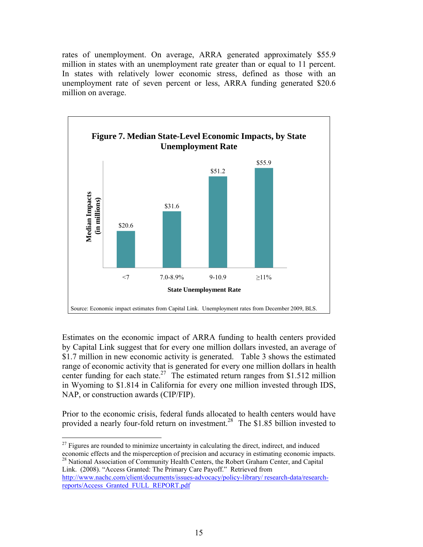rates of unemployment. On average, ARRA generated approximately \$55.9 million in states with an unemployment rate greater than or equal to 11 percent. In states with relatively lower economic stress, defined as those with an unemployment rate of seven percent or less, ARRA funding generated \$20.6 million on average.

![](_page_15_Figure_1.jpeg)

Estimates on the economic impact of ARRA funding to health centers provided by Capital Link suggest that for every one million dollars invested, an average of \$1.7 million in new economic activity is generated. Table 3 shows the estimated range of economic activity that is generated for every one million dollars in health center funding for each state.<sup>27</sup> The estimated return ranges from \$1.512 million in Wyoming to \$1.814 in California for every one million invested through IDS, NAP, or construction awards (CIP/FIP).

Prior to the economic crisis, federal funds allocated to health centers would have provided a nearly four-fold return on investment.28 The \$1.85 billion invested to

<sup>28</sup> National Association of Community Health Centers, the Robert Graham Center, and Capital Link. (2008). "Access Granted: The Primary Care Payoff." Retrieved from

<sup>&</sup>lt;u>.</u>  $27$  Figures are rounded to minimize uncertainty in calculating the direct, indirect, and induced economic effects and the misperception of precision and accuracy in estimating economic impacts.

http://www.nachc.com/client/documents/issues-advocacy/policy-library/ research-data/researchreports/Access\_Granted\_FULL\_REPORT.pdf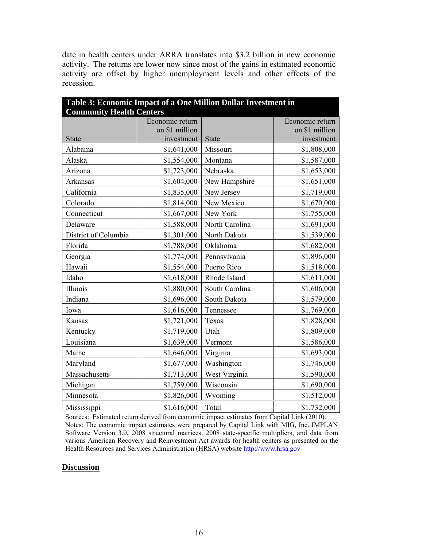date in health centers under ARRA translates into \$3.2 billion in new economic activity. The returns are lower now since most of the gains in estimated economic activity are offset by higher unemployment levels and other effects of the recession.

| Table 3: Economic Impact of a One Million Dollar Investment in |                 |                |                 |  |  |
|----------------------------------------------------------------|-----------------|----------------|-----------------|--|--|
| <b>Community Health Centers</b>                                |                 |                |                 |  |  |
|                                                                | Economic return |                | Economic return |  |  |
|                                                                | on \$1 million  |                | on \$1 million  |  |  |
| <b>State</b>                                                   | investment      | <b>State</b>   | investment      |  |  |
| Alabama                                                        | \$1,641,000     | Missouri       | \$1,808,000     |  |  |
| Alaska                                                         | \$1,554,000     | Montana        | \$1,587,000     |  |  |
| Arizona                                                        | \$1,723,000     | Nebraska       | \$1,653,000     |  |  |
| <b>Arkansas</b>                                                | \$1,604,000     | New Hampshire  | \$1,651,000     |  |  |
| California                                                     | \$1,835,000     | New Jersey     | \$1,719,000     |  |  |
| Colorado                                                       | \$1,814,000     | New Mexico     | \$1,670,000     |  |  |
| Connecticut                                                    | \$1,667,000     | New York       | \$1,755,000     |  |  |
| Delaware                                                       | \$1,588,000     | North Carolina | \$1,691,000     |  |  |
| District of Columbia                                           | \$1,301,000     | North Dakota   | \$1,539,000     |  |  |
| Florida                                                        | \$1,788,000     | Oklahoma       | \$1,682,000     |  |  |
| Georgia                                                        | \$1,774,000     | Pennsylvania   | \$1,896,000     |  |  |
| Hawaii                                                         | \$1,554,000     | Puerto Rico    | \$1,518,000     |  |  |
| Idaho                                                          | \$1,618,000     | Rhode Island   | \$1,611,000     |  |  |
| Illinois                                                       | \$1,880,000     | South Carolina | \$1,606,000     |  |  |
| Indiana                                                        | \$1,696,000     | South Dakota   | \$1,579,000     |  |  |
| Iowa                                                           | \$1,616,000     | Tennessee      | \$1,769,000     |  |  |
| Kansas                                                         | \$1,721,000     | Texas          | \$1,828,000     |  |  |
| Kentucky                                                       | \$1,719,000     | Utah           | \$1,809,000     |  |  |
| Louisiana                                                      | \$1,639,000     | Vermont        | \$1,586,000     |  |  |
| Maine                                                          | \$1,646,000     | Virginia       | \$1,693,000     |  |  |
| Maryland                                                       | \$1,677,000     | Washington     | \$1,746,000     |  |  |
| Massachusetts                                                  | \$1,713,000     | West Virginia  | \$1,590,000     |  |  |
| Michigan                                                       | \$1,759,000     | Wisconsin      | \$1,690,000     |  |  |
| Minnesota                                                      | \$1,826,000     | Wyoming        | \$1,512,000     |  |  |
| Mississippi                                                    | \$1,616,000     | Total          | \$1,732,000     |  |  |

Sources: Estimated return derived from economic impact estimates from Capital Link (2010). Notes: The economic impact estimates were prepared by Capital Link with MIG, Inc. IMPLAN Software Version 3.0, 2008 structural matrices, 2008 state-specific multipliers, and data from various American Recovery and Reinvestment Act awards for health centers as presented on the Health Resources and Services Administration (HRSA) website http://www.hrsa.gov

#### **Discussion**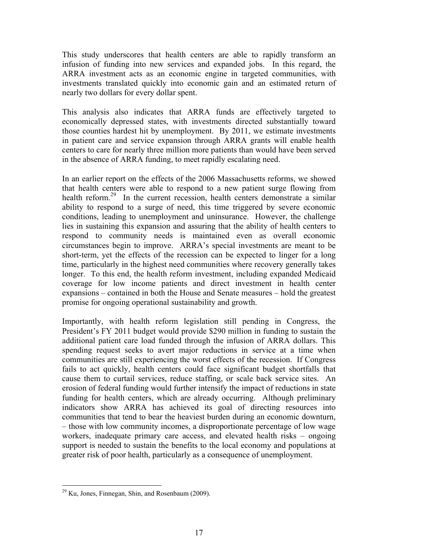This study underscores that health centers are able to rapidly transform an infusion of funding into new services and expanded jobs. In this regard, the ARRA investment acts as an economic engine in targeted communities, with investments translated quickly into economic gain and an estimated return of nearly two dollars for every dollar spent.

This analysis also indicates that ARRA funds are effectively targeted to economically depressed states, with investments directed substantially toward those counties hardest hit by unemployment. By 2011, we estimate investments in patient care and service expansion through ARRA grants will enable health centers to care for nearly three million more patients than would have been served in the absence of ARRA funding, to meet rapidly escalating need.

In an earlier report on the effects of the 2006 Massachusetts reforms, we showed that health centers were able to respond to a new patient surge flowing from health reform.<sup>29</sup> In the current recession, health centers demonstrate a similar ability to respond to a surge of need, this time triggered by severe economic conditions, leading to unemployment and uninsurance. However, the challenge lies in sustaining this expansion and assuring that the ability of health centers to respond to community needs is maintained even as overall economic circumstances begin to improve. ARRA's special investments are meant to be short-term, yet the effects of the recession can be expected to linger for a long time, particularly in the highest need communities where recovery generally takes longer. To this end, the health reform investment, including expanded Medicaid coverage for low income patients and direct investment in health center expansions – contained in both the House and Senate measures – hold the greatest promise for ongoing operational sustainability and growth.

Importantly, with health reform legislation still pending in Congress, the President's FY 2011 budget would provide \$290 million in funding to sustain the additional patient care load funded through the infusion of ARRA dollars. This spending request seeks to avert major reductions in service at a time when communities are still experiencing the worst effects of the recession. If Congress fails to act quickly, health centers could face significant budget shortfalls that cause them to curtail services, reduce staffing, or scale back service sites. An erosion of federal funding would further intensify the impact of reductions in state funding for health centers, which are already occurring. Although preliminary indicators show ARRA has achieved its goal of directing resources into communities that tend to bear the heaviest burden during an economic downturn, – those with low community incomes, a disproportionate percentage of low wage workers, inadequate primary care access, and elevated health risks – ongoing support is needed to sustain the benefits to the local economy and populations at greater risk of poor health, particularly as a consequence of unemployment.

 $\overline{a}$ 

 $29$  Ku, Jones, Finnegan, Shin, and Rosenbaum (2009).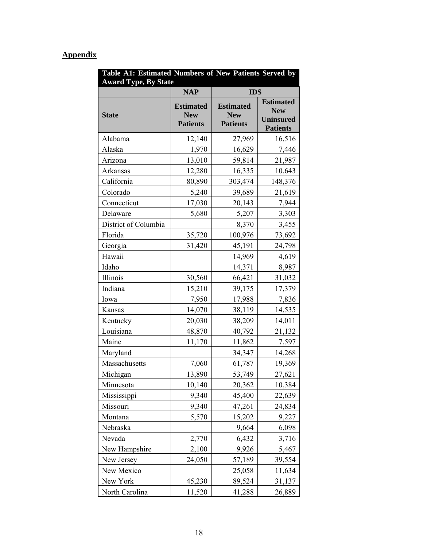# **Appendix**

| Table A1: Estimated Numbers of New Patients Served by<br><b>Award Type, By State</b> |                                                   |                                                   |                                                                       |  |
|--------------------------------------------------------------------------------------|---------------------------------------------------|---------------------------------------------------|-----------------------------------------------------------------------|--|
|                                                                                      | <b>NAP</b>                                        | <b>IDS</b>                                        |                                                                       |  |
| <b>State</b>                                                                         | <b>Estimated</b><br><b>New</b><br><b>Patients</b> | <b>Estimated</b><br><b>New</b><br><b>Patients</b> | <b>Estimated</b><br><b>New</b><br><b>Uninsured</b><br><b>Patients</b> |  |
| Alabama                                                                              | 12,140                                            | 27,969                                            | 16,516                                                                |  |
| Alaska                                                                               | 1,970                                             | 16,629                                            | 7,446                                                                 |  |
| Arizona                                                                              | 13,010                                            | 59,814                                            | 21,987                                                                |  |
| Arkansas                                                                             | 12,280                                            | 16,335                                            | 10,643                                                                |  |
| California                                                                           | 80,890                                            | 303,474                                           | 148,376                                                               |  |
| Colorado                                                                             | 5,240                                             | 39,689                                            | 21,619                                                                |  |
| Connecticut                                                                          | 17,030                                            | 20,143                                            | 7,944                                                                 |  |
| Delaware                                                                             | 5,680                                             | 5,207                                             | 3,303                                                                 |  |
| District of Columbia                                                                 |                                                   | 8,370                                             | 3,455                                                                 |  |
| Florida                                                                              | 35,720                                            | 100,976                                           | 73,692                                                                |  |
| Georgia                                                                              | 31,420                                            | 45,191                                            | 24,798                                                                |  |
| Hawaii                                                                               |                                                   | 14,969                                            | 4,619                                                                 |  |
| Idaho                                                                                |                                                   | 14,371                                            | 8,987                                                                 |  |
| Illinois                                                                             | 30,560                                            | 66,421                                            | 31,032                                                                |  |
| Indiana                                                                              | 15,210                                            | 39,175                                            | 17,379                                                                |  |
| Iowa                                                                                 | 7,950                                             | 17,988                                            | 7,836                                                                 |  |
| Kansas                                                                               | 14,070                                            | 38,119                                            | 14,535                                                                |  |
| Kentucky                                                                             | 20,030                                            | 38,209                                            | 14,011                                                                |  |
| Louisiana                                                                            | 48,870                                            | 40,792                                            | 21,132                                                                |  |
| Maine                                                                                | 11,170                                            | 11,862                                            | 7,597                                                                 |  |
| Maryland                                                                             |                                                   | 34,347                                            | 14,268                                                                |  |
| Massachusetts                                                                        | 7,060                                             | 61,787                                            | 19,369                                                                |  |
| Michigan                                                                             | 13,890                                            | 53,749                                            | 27,621                                                                |  |
| Minnesota                                                                            | 10,140                                            | 20,362                                            | 10,384                                                                |  |
| Mississippi                                                                          | 9,340                                             | 45,400                                            | 22,639                                                                |  |
| Missouri                                                                             | 9,340                                             | 47,261                                            | 24,834                                                                |  |
| Montana                                                                              | 5,570                                             | 15,202                                            | 9,227                                                                 |  |
| Nebraska                                                                             |                                                   | 9,664                                             | 6,098                                                                 |  |
| Nevada                                                                               | 2,770                                             | 6,432                                             | 3,716                                                                 |  |
| New Hampshire                                                                        | 2,100                                             | 9,926                                             | 5,467                                                                 |  |
| New Jersey                                                                           | 24,050                                            | 57,189                                            | 39,554                                                                |  |
| New Mexico                                                                           |                                                   | 25,058                                            | 11,634                                                                |  |
| New York                                                                             | 45,230                                            | 89,524                                            | 31,137                                                                |  |
| North Carolina                                                                       | 11,520                                            | 41,288                                            | 26,889                                                                |  |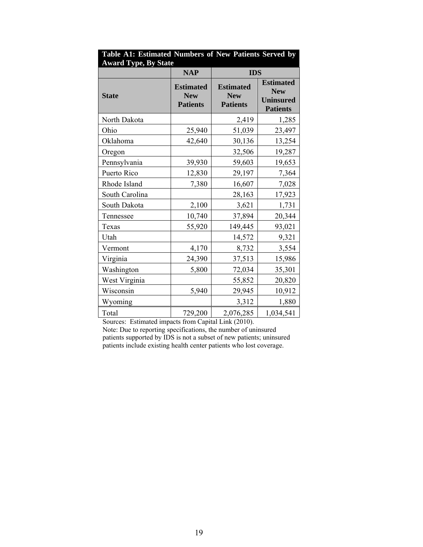| Awaru Type, by Blaic | <b>NAP</b>                                        | <b>IDS</b>                                        |                                                                       |
|----------------------|---------------------------------------------------|---------------------------------------------------|-----------------------------------------------------------------------|
| <b>State</b>         | <b>Estimated</b><br><b>New</b><br><b>Patients</b> | <b>Estimated</b><br><b>New</b><br><b>Patients</b> | <b>Estimated</b><br><b>New</b><br><b>Uninsured</b><br><b>Patients</b> |
| North Dakota         |                                                   | 2,419                                             | 1,285                                                                 |
| Ohio                 | 25,940                                            | 51,039                                            | 23,497                                                                |
| Oklahoma             | 42,640                                            | 30,136                                            | 13,254                                                                |
| Oregon               |                                                   | 32,506                                            | 19,287                                                                |
| Pennsylvania         | 39,930                                            | 59,603                                            | 19,653                                                                |
| Puerto Rico          | 12,830                                            | 29,197                                            | 7,364                                                                 |
| Rhode Island         | 7,380                                             | 16,607                                            | 7,028                                                                 |
| South Carolina       |                                                   | 28,163                                            | 17,923                                                                |
| South Dakota         | 2,100                                             | 3,621                                             | 1,731                                                                 |
| Tennessee            | 10,740                                            | 37,894                                            | 20,344                                                                |
| Texas                | 55,920                                            | 149,445                                           | 93,021                                                                |
| Utah                 |                                                   | 14,572                                            | 9,321                                                                 |
| Vermont              | 4,170                                             | 8,732                                             | 3,554                                                                 |
| Virginia             | 24,390                                            | 37,513                                            | 15,986                                                                |
| Washington           | 5,800                                             | 72,034                                            | 35,301                                                                |
| West Virginia        |                                                   | 55,852                                            | 20,820                                                                |
| Wisconsin            | 5,940                                             | 29,945                                            | 10,912                                                                |
| Wyoming              |                                                   | 3,312                                             | 1,880                                                                 |
| Total                | 729,200                                           | 2,076,285                                         | 1,034,541                                                             |

| Table A1: Estimated Numbers of New Patients Served by |  |  |  |
|-------------------------------------------------------|--|--|--|
| <b>Award Type, By State</b>                           |  |  |  |

Sources: Estimated impacts from Capital Link (2010).

Note: Due to reporting specifications, the number of uninsured patients supported by IDS is not a subset of new patients; uninsured patients include existing health center patients who lost coverage.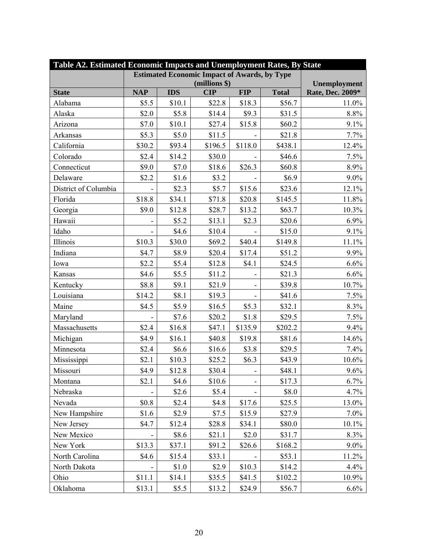| Table A2. Estimated Economic Impacts and Unemployment Rates, By State |                                                     |            |                             |            |              |                                         |
|-----------------------------------------------------------------------|-----------------------------------------------------|------------|-----------------------------|------------|--------------|-----------------------------------------|
|                                                                       | <b>Estimated Economic Impact of Awards, by Type</b> |            |                             |            |              |                                         |
| <b>State</b>                                                          | <b>NAP</b>                                          | <b>IDS</b> | (millions \$)<br><b>CIP</b> | <b>FIP</b> | <b>Total</b> | <b>Unemployment</b><br>Rate, Dec. 2009* |
| Alabama                                                               | \$5.5                                               | \$10.1     | \$22.8                      | \$18.3     | \$56.7       | 11.0%                                   |
| Alaska                                                                | \$2.0                                               | \$5.8\$    | \$14.4                      | \$9.3      | \$31.5       | 8.8%                                    |
| Arizona                                                               | \$7.0                                               | \$10.1     | \$27.4                      | \$15.8     | \$60.2       | 9.1%                                    |
| Arkansas                                                              | \$5.3                                               | \$5.0      | \$11.5                      |            | \$21.8       | $7.7\%$                                 |
| California                                                            | \$30.2                                              | \$93.4     | \$196.5                     | \$118.0    | \$438.1      | 12.4%                                   |
| Colorado                                                              | \$2.4                                               | \$14.2     | \$30.0                      |            | \$46.6       | 7.5%                                    |
| Connecticut                                                           | \$9.0                                               | \$7.0      | \$18.6                      | \$26.3     | \$60.8       | 8.9%                                    |
| Delaware                                                              | \$2.2                                               | \$1.6      | \$3.2                       |            | \$6.9\$      | 9.0%                                    |
| District of Columbia                                                  |                                                     | \$2.3      | \$5.7                       | \$15.6     | \$23.6       | 12.1%                                   |
| Florida                                                               | \$18.8                                              | \$34.1     | \$71.8                      | \$20.8     | \$145.5      | 11.8%                                   |
| Georgia                                                               | \$9.0                                               | \$12.8     | \$28.7                      | \$13.2     | \$63.7       | 10.3%                                   |
| Hawaii                                                                |                                                     | \$5.2\$    | \$13.1                      | \$2.3      | \$20.6       | $6.9\%$                                 |
| Idaho                                                                 |                                                     | \$4.6      | \$10.4                      |            | \$15.0       | 9.1%                                    |
| Illinois                                                              | \$10.3                                              | \$30.0     | \$69.2                      | \$40.4     | \$149.8      | 11.1%                                   |
| Indiana                                                               | \$4.7                                               | \$8.9      | \$20.4                      | \$17.4     | \$51.2       | 9.9%                                    |
| Iowa                                                                  | \$2.2                                               | \$5.4      | \$12.8                      | \$4.1      | \$24.5       | 6.6%                                    |
| Kansas                                                                | \$4.6                                               | \$5.5      | \$11.2                      |            | \$21.3       | 6.6%                                    |
| Kentucky                                                              | \$8.8                                               | \$9.1      | \$21.9                      |            | \$39.8       | 10.7%                                   |
| Louisiana                                                             | \$14.2                                              | \$8.1      | \$19.3                      |            | \$41.6       | 7.5%                                    |
| Maine                                                                 | \$4.5                                               | \$5.9      | \$16.5                      | \$5.3      | \$32.1       | 8.3%                                    |
| Maryland                                                              |                                                     | \$7.6      | \$20.2                      | \$1.8      | \$29.5       | 7.5%                                    |
| Massachusetts                                                         | \$2.4                                               | \$16.8     | \$47.1                      | \$135.9    | \$202.2      | 9.4%                                    |
| Michigan                                                              | \$4.9                                               | \$16.1     | \$40.8                      | \$19.8     | \$81.6       | 14.6%                                   |
| Minnesota                                                             | \$2.4                                               | \$6.6      | \$16.6                      | \$3.8      | \$29.5       | 7.4%                                    |
| Mississippi                                                           | \$2.1                                               | \$10.3     | \$25.2                      | \$6.3\$    | \$43.9       | 10.6%                                   |
| Missouri                                                              | \$4.9                                               | \$12.8     | \$30.4                      |            | \$48.1       | 9.6%                                    |
| Montana                                                               | \$2.1                                               | \$4.6      | \$10.6                      |            | \$17.3       | 6.7%                                    |
| Nebraska                                                              |                                                     | \$2.6      | \$5.4                       |            | \$8.0        | 4.7%                                    |
| Nevada                                                                | \$0.8                                               | \$2.4      | \$4.8                       | \$17.6     | \$25.5       | 13.0%                                   |
| New Hampshire                                                         | \$1.6                                               | \$2.9      | \$7.5                       | \$15.9     | \$27.9       | $7.0\%$                                 |
| New Jersey                                                            | \$4.7                                               | \$12.4     | \$28.8                      | \$34.1     | \$80.0       | 10.1%                                   |
| New Mexico                                                            |                                                     | \$8.6      | \$21.1                      | \$2.0      | \$31.7       | 8.3%                                    |
| New York                                                              | \$13.3                                              | \$37.1     | \$91.2                      | \$26.6     | \$168.2      | $9.0\%$                                 |
| North Carolina                                                        | \$4.6                                               | \$15.4     | \$33.1                      |            | \$53.1       | 11.2%                                   |
| North Dakota                                                          |                                                     | \$1.0      | \$2.9                       | \$10.3     | \$14.2       | 4.4%                                    |
| Ohio                                                                  | \$11.1                                              | \$14.1     | \$35.5                      | \$41.5     | \$102.2      | 10.9%                                   |
| Oklahoma                                                              | \$13.1                                              | \$5.5      | \$13.2                      | \$24.9     | \$56.7       | 6.6%                                    |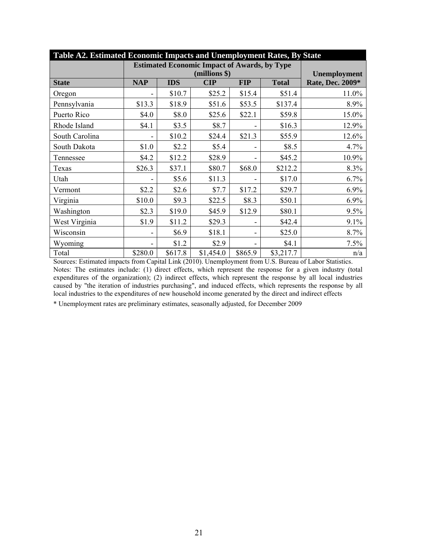| Table A2. Estimated Economic Impacts and Unemployment Rates, By State |                                                     |            |               |            |              |                  |
|-----------------------------------------------------------------------|-----------------------------------------------------|------------|---------------|------------|--------------|------------------|
|                                                                       | <b>Estimated Economic Impact of Awards, by Type</b> |            |               |            |              |                  |
|                                                                       |                                                     |            | (millions \$) |            |              | Unemployment     |
| <b>State</b>                                                          | <b>NAP</b>                                          | <b>IDS</b> | <b>CIP</b>    | <b>FIP</b> | <b>Total</b> | Rate, Dec. 2009* |
| Oregon                                                                |                                                     | \$10.7     | \$25.2        | \$15.4     | \$51.4       | 11.0%            |
| Pennsylvania                                                          | \$13.3                                              | \$18.9     | \$51.6        | \$53.5     | \$137.4      | 8.9%             |
| Puerto Rico                                                           | \$4.0                                               | \$8.0      | \$25.6        | \$22.1     | \$59.8       | 15.0%            |
| Rhode Island                                                          | \$4.1                                               | \$3.5      | \$8.7         |            | \$16.3       | 12.9%            |
| South Carolina                                                        |                                                     | \$10.2     | \$24.4        | \$21.3     | \$55.9       | 12.6%            |
| South Dakota                                                          | \$1.0                                               | \$2.2      | \$5.4         |            | \$8.5        | 4.7%             |
| Tennessee                                                             | \$4.2                                               | \$12.2     | \$28.9        |            | \$45.2       | 10.9%            |
| Texas                                                                 | \$26.3                                              | \$37.1     | \$80.7        | \$68.0     | \$212.2      | 8.3%             |
| Utah                                                                  |                                                     | \$5.6      | \$11.3        |            | \$17.0       | 6.7%             |
| Vermont                                                               | \$2.2\$                                             | \$2.6      | \$7.7         | \$17.2     | \$29.7       | 6.9%             |
| Virginia                                                              | \$10.0                                              | \$9.3      | \$22.5        | \$8.3      | \$50.1       | 6.9%             |
| Washington                                                            | \$2.3                                               | \$19.0     | \$45.9        | \$12.9     | \$80.1       | 9.5%             |
| West Virginia                                                         | \$1.9                                               | \$11.2     | \$29.3        |            | \$42.4       | 9.1%             |
| Wisconsin                                                             |                                                     | \$6.9      | \$18.1        |            | \$25.0       | 8.7%             |
| Wyoming                                                               | Ξ.                                                  | \$1.2      | \$2.9         |            | \$4.1        | 7.5%             |
| Total                                                                 | \$280.0                                             | \$617.8    | \$1,454.0     | \$865.9    | \$3,217.7    | n/a              |

Sources: Estimated impacts from Capital Link (2010). Unemployment from U.S. Bureau of Labor Statistics. Notes: The estimates include: (1) direct effects, which represent the response for a given industry (total expenditures of the organization); (2) indirect effects, which represent the response by all local industries caused by "the iteration of industries purchasing", and induced effects, which represents the response by all local industries to the expenditures of new household income generated by the direct and indirect effects

\* Unemployment rates are preliminary estimates, seasonally adjusted, for December 2009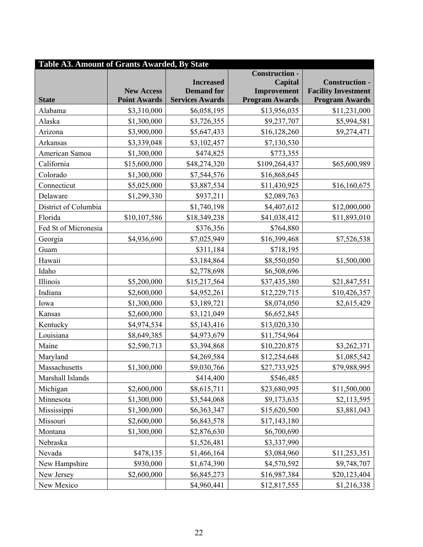| Table A3. Amount of Grants Awarded, By State |                                          |                                             |                                      |                                                     |
|----------------------------------------------|------------------------------------------|---------------------------------------------|--------------------------------------|-----------------------------------------------------|
|                                              |                                          |                                             | <b>Construction -</b>                |                                                     |
|                                              |                                          | <b>Increased</b>                            | <b>Capital</b>                       | <b>Construction -</b>                               |
| <b>State</b>                                 | <b>New Access</b><br><b>Point Awards</b> | <b>Demand for</b><br><b>Services Awards</b> | Improvement<br><b>Program Awards</b> | <b>Facility Investment</b><br><b>Program Awards</b> |
| Alabama                                      |                                          | \$6,058,195                                 | \$13,956,035                         | \$11,231,000                                        |
|                                              | \$3,310,000                              |                                             |                                      |                                                     |
| Alaska                                       | \$1,300,000                              | \$3,726,355                                 | \$9,237,707                          | \$5,994,581                                         |
| Arizona                                      | \$3,900,000                              | \$5,647,433                                 | \$16,128,260                         | \$9,274,471                                         |
| Arkansas                                     | \$3,339,048                              | \$3,102,457                                 | \$7,130,530                          |                                                     |
| American Samoa                               | \$1,300,000                              | \$474,825                                   | \$773,355                            |                                                     |
| California                                   | \$15,600,000                             | \$48,274,320                                | \$109,264,437                        | \$65,600,989                                        |
| Colorado                                     | \$1,300,000                              | \$7,544,576                                 | \$16,868,645                         |                                                     |
| Connecticut                                  | \$5,025,000                              | \$3,887,534                                 | \$11,430,925                         | \$16,160,675                                        |
| Delaware                                     | \$1,299,330                              | \$937,211                                   | \$2,089,763                          |                                                     |
| District of Columbia                         |                                          | \$1,740,198                                 | \$4,407,612                          | \$12,000,000                                        |
| Florida                                      | \$10,107,586                             | \$18,349,238                                | \$41,038,412                         | \$11,893,010                                        |
| Fed St of Micronesia                         |                                          | \$376,356                                   | \$764,880                            |                                                     |
| Georgia                                      | \$4,936,690                              | \$7,025,949                                 | \$16,399,468                         | \$7,526,538                                         |
| Guam                                         |                                          | \$311,184                                   | \$718,195                            |                                                     |
| Hawaii                                       |                                          | \$3,184,864                                 | \$8,550,050                          | \$1,500,000                                         |
| Idaho                                        |                                          | \$2,778,698                                 | \$6,508,696                          |                                                     |
| Illinois                                     | \$5,200,000                              | \$15,217,564                                | \$37,435,380                         | \$21,847,551                                        |
| Indiana                                      | \$2,600,000                              | \$4,952,261                                 | \$12,229,715                         | \$10,426,357                                        |
| Iowa                                         | \$1,300,000                              | \$3,189,721                                 | \$8,074,050                          | \$2,615,429                                         |
| Kansas                                       | \$2,600,000                              | \$3,121,049                                 | \$6,652,845                          |                                                     |
| Kentucky                                     | \$4,974,534                              | \$5,143,416                                 | \$13,020,330                         |                                                     |
| Louisiana                                    | \$8,649,385                              | \$4,973,679                                 | \$11,754,964                         |                                                     |
| Maine                                        | \$2,590,713                              | \$3,394,868                                 | \$10,220,875                         | \$3,262,371                                         |
| Maryland                                     |                                          | \$4,269,584                                 | \$12,254,648                         | \$1,085,542                                         |
| Massachusetts                                | \$1,300,000                              | \$9,030,766                                 | \$27,733,925                         | \$79,988,995                                        |
| Marshall Islands                             |                                          | \$414,400                                   | \$546,485                            |                                                     |
| Michigan                                     | \$2,600,000                              | \$8,615,711                                 | \$23,680,995                         | \$11,500,000                                        |
| Minnesota                                    | \$1,300,000                              | \$3,544,068                                 | \$9,173,635                          | \$2,113,595                                         |
| Mississippi                                  | \$1,300,000                              | \$6,363,347                                 | \$15,620,500                         | \$3,881,043                                         |
| Missouri                                     | \$2,600,000                              | \$6,843,578                                 | \$17,143,180                         |                                                     |
| Montana                                      | \$1,300,000                              | \$2,876,630                                 | \$6,700,690                          |                                                     |
| Nebraska                                     |                                          | \$1,526,481                                 | \$3,337,990                          |                                                     |
| Nevada                                       | \$478,135                                | \$1,466,164                                 | \$3,084,960                          | \$11,253,351                                        |
| New Hampshire                                | \$930,000                                | \$1,674,390                                 | \$4,570,592                          | \$9,748,707                                         |
| New Jersey                                   | \$2,600,000                              | \$6,845,273                                 | \$16,987,384                         | \$20,123,404                                        |
| New Mexico                                   |                                          | \$4,960,441                                 | \$12,817,555                         | \$1,216,338                                         |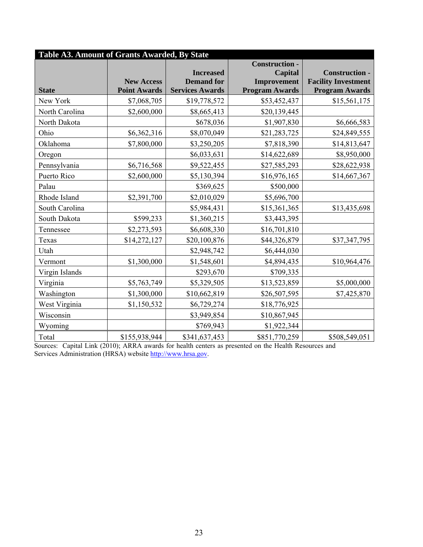| Table A3. Amount of Grants Awarded, By State |                     |                        |                       |                            |
|----------------------------------------------|---------------------|------------------------|-----------------------|----------------------------|
|                                              |                     |                        | <b>Construction -</b> |                            |
|                                              |                     | <b>Increased</b>       | Capital               | <b>Construction -</b>      |
|                                              | <b>New Access</b>   | <b>Demand for</b>      | Improvement           | <b>Facility Investment</b> |
| <b>State</b>                                 | <b>Point Awards</b> | <b>Services Awards</b> | <b>Program Awards</b> | <b>Program Awards</b>      |
| New York                                     | \$7,068,705         | \$19,778,572           | \$53,452,437          | \$15,561,175               |
| North Carolina                               | \$2,600,000         | \$8,665,413            | \$20,139,445          |                            |
| North Dakota                                 |                     | \$678,036              | \$1,907,830           | \$6,666,583                |
| Ohio                                         | \$6,362,316         | \$8,070,049            | \$21,283,725          | \$24,849,555               |
| Oklahoma                                     | \$7,800,000         | \$3,250,205            | \$7,818,390           | \$14,813,647               |
| Oregon                                       |                     | \$6,033,631            | \$14,622,689          | \$8,950,000                |
| Pennsylvania                                 | \$6,716,568         | \$9,522,455            | \$27,585,293          | \$28,622,938               |
| Puerto Rico                                  | \$2,600,000         | \$5,130,394            | \$16,976,165          | \$14,667,367               |
| Palau                                        |                     | \$369,625              | \$500,000             |                            |
| Rhode Island                                 | \$2,391,700         | \$2,010,029            | \$5,696,700           |                            |
| South Carolina                               |                     | \$5,984,431            | \$15,361,365          | \$13,435,698               |
| South Dakota                                 | \$599,233           | \$1,360,215            | \$3,443,395           |                            |
| Tennessee                                    | \$2,273,593         | \$6,608,330            | \$16,701,810          |                            |
| Texas                                        | \$14,272,127        | \$20,100,876           | \$44,326,879          | \$37,347,795               |
| Utah                                         |                     | \$2,948,742            | \$6,444,030           |                            |
| Vermont                                      | \$1,300,000         | \$1,548,601            | \$4,894,435           | \$10,964,476               |
| Virgin Islands                               |                     | \$293,670              | \$709,335             |                            |
| Virginia                                     | \$5,763,749         | \$5,329,505            | \$13,523,859          | \$5,000,000                |
| Washington                                   | \$1,300,000         | \$10,662,819           | \$26,507,595          | \$7,425,870                |
| West Virginia                                | \$1,150,532         | \$6,729,274            | \$18,776,925          |                            |
| Wisconsin                                    |                     | \$3,949,854            | \$10,867,945          |                            |
| Wyoming                                      |                     | \$769,943              | \$1,922,344           |                            |
| Total                                        | \$155,938,944       | \$341,637,453          | \$851,770,259         | \$508,549,051              |

Sources: Capital Link (2010); ARRA awards for health centers as presented on the Health Resources and Services Administration (HRSA) website http://www.hrsa.gov.